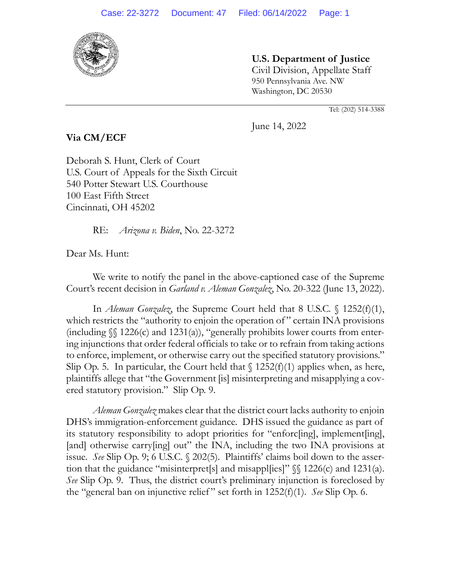

**U.S. Department of Justice** Civil Division, Appellate Staff 950 Pennsylvania Ave. NW

Tel: (202) 514-3388

June 14, 2022

Washington, DC 20530

**Via CM/ECF**

Deborah S. Hunt, Clerk of Court U.S. Court of Appeals for the Sixth Circuit 540 Potter Stewart U.S. Courthouse 100 East Fifth Street Cincinnati, OH 45202

RE: *Arizona v. Biden*, No. 22-3272

Dear Ms. Hunt:

We write to notify the panel in the above-captioned case of the Supreme Court's recent decision in *Garland v. Aleman Gonzalez*, No. 20-322 (June 13, 2022).

In *Aleman Gonzalez*, the Supreme Court held that 8 U.S.C. § 1252(f)(1), which restricts the "authority to enjoin the operation of" certain INA provisions (including  $\mathcal{S}$  1226(c) and 1231(a)), "generally prohibits lower courts from entering injunctions that order federal officials to take or to refrain from taking actions to enforce, implement, or otherwise carry out the specified statutory provisions." Slip Op. 5. In particular, the Court held that  $\int$  1252(f)(1) applies when, as here, plaintiffs allege that "the Government [is] misinterpreting and misapplying a covered statutory provision." Slip Op. 9.

*Aleman Gonzalez* makes clear that the district court lacks authority to enjoin DHS's immigration-enforcement guidance. DHS issued the guidance as part of its statutory responsibility to adopt priorities for "enforc[ing], implement[ing], [and] otherwise carry[ing] out" the INA, including the two INA provisions at issue. *See* Slip Op. 9; 6 U.S.C. § 202(5). Plaintiffs' claims boil down to the assertion that the guidance "misinterpret[s] and misapples]"  $\$  1226(c) and 1231(a). *See* Slip Op. 9. Thus, the district court's preliminary injunction is foreclosed by the "general ban on injunctive relief " set forth in 1252(f)(1). *See* Slip Op. 6.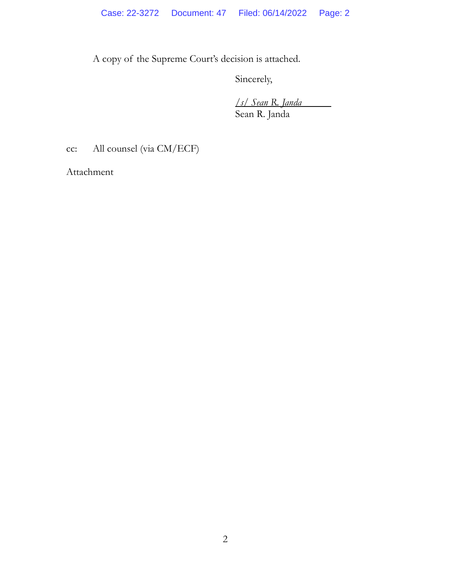A copy of the Supreme Court's decision is attached.

Sincerely,

*/s/ Sean R. Janda* Sean R. Janda

cc: All counsel (via CM/ECF)

Attachment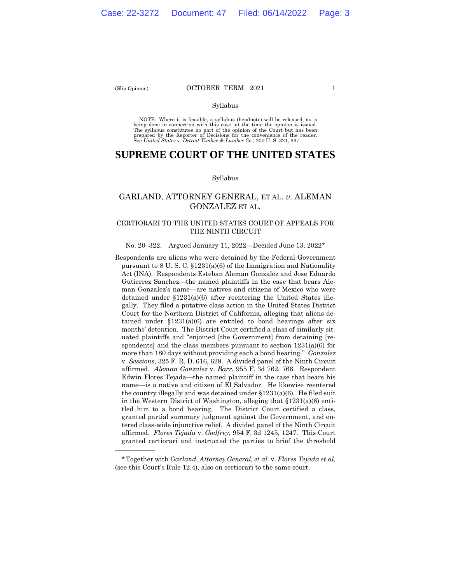——————

### (Slip Opinion) **OCTOBER TERM, 2021** 1

## Syllabus

 NOTE: Where it is feasible, a syllabus (headnote) will be released, as is being done in connection with this case, at the time the opinion is issued. The syllabus constitutes no part of the opinion of the Court but has been<br>prepared by the Reporter of Decisions for the convenience of the reader.<br>See United States v. Detroit Timber & Lumber Co., 200 U.S. 321, 337.

# **SUPREME COURT OF THE UNITED STATES**

### Syllabus

# GARLAND, ATTORNEY GENERAL, ET AL. *v*. ALEMAN GONZALEZ ET AL.

## CERTIORARI TO THE UNITED STATES COURT OF APPEALS FOR THE NINTH CIRCUIT

### No. 20–322. Argued January 11, 2022—Decided June 13, 2022\*

 more than 180 days without providing each a bond hearing." *Gonzalez*  Respondents are aliens who were detained by the Federal Government pursuant to 8 U. S. C. §1231(a)(6) of the Immigration and Nationality Act (INA). Respondents Esteban Aleman Gonzalez and Jose Eduardo Gutierrez Sanchez—the named plaintiffs in the case that bears Aleman Gonzalez's name—are natives and citizens of Mexico who were detained under §1231(a)(6) after reentering the United States illegally. They filed a putative class action in the United States District Court for the Northern District of California, alleging that aliens detained under  $$1231(a)(6)$  are entitled to bond hearings after six months' detention. The District Court certified a class of similarly situated plaintiffs and "enjoined [the Government] from detaining [respondents] and the class members pursuant to section 1231(a)(6) for v. *Sessions*, 325 F. R. D. 616, 629. A divided panel of the Ninth Circuit affirmed. *Aleman Gonzalez* v. *Barr*, 955 F. 3d 762, 766. Respondent Edwin Flores Tejada—the named plaintiff in the case that bears his name—is a native and citizen of El Salvador. He likewise reentered the country illegally and was detained under  $$1231(a)(6)$ . He filed suit in the Western District of Washington, alleging that §1231(a)(6) entitled him to a bond hearing. The District Court certified a class, granted partial summary judgment against the Government, and entered class-wide injunctive relief. A divided panel of the Ninth Circuit affirmed. *Flores Tejada* v. *Godfrey*, 954 F. 3d 1245, 1247. This Court granted certiorari and instructed the parties to brief the threshold

<sup>\*</sup>Together with *Garland, Attorney General, et al.* v. *Flores Tejada et al.*  (see this Court's Rule 12.4), also on certiorari to the same court.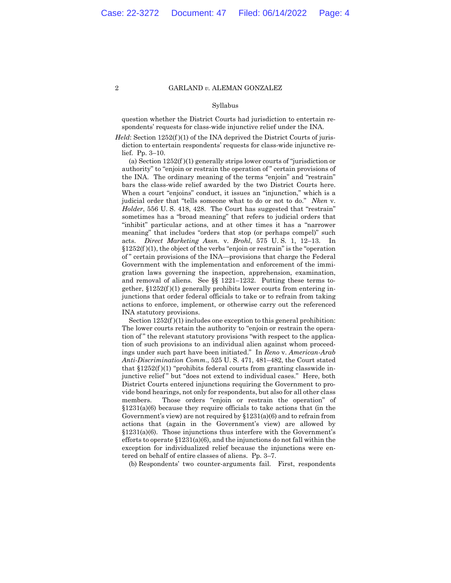### Syllabus

question whether the District Courts had jurisdiction to entertain respondents' requests for class-wide injunctive relief under the INA.

*Held*: Section 1252(f)(1) of the INA deprived the District Courts of jurisdiction to entertain respondents' requests for class-wide injunctive relief. Pp. 3–10.

(a) Section 1252(f )(1) generally strips lower courts of "jurisdiction or authority" to "enjoin or restrain the operation of " certain provisions of the INA. The ordinary meaning of the terms "enjoin" and "restrain" bars the class-wide relief awarded by the two District Courts here. When a court "enjoins" conduct, it issues an "injunction," which is a judicial order that "tells someone what to do or not to do." *Nken* v. *Holder*, 556 U. S. 418, 428. The Court has suggested that "restrain" sometimes has a "broad meaning" that refers to judicial orders that "inhibit" particular actions, and at other times it has a "narrower meaning" that includes "orders that stop (or perhaps compel)" such acts. *Direct Marketing Assn.* v. *Brohl*, 575 U. S. 1, 12–13. In §1252(f )(1), the object of the verbs "enjoin or restrain" is the "operation of " certain provisions of the INA—provisions that charge the Federal Government with the implementation and enforcement of the immigration laws governing the inspection, apprehension, examination, and removal of aliens. See §§ 1221–1232. Putting these terms together,  $$1252(f)(1)$  generally prohibits lower courts from entering injunctions that order federal officials to take or to refrain from taking actions to enforce, implement, or otherwise carry out the referenced INA statutory provisions.

Section  $1252(f)(1)$  includes one exception to this general prohibition: The lower courts retain the authority to "enjoin or restrain the operation of " the relevant statutory provisions "with respect to the application of such provisions to an individual alien against whom proceedings under such part have been initiated." In *Reno* v. *American-Arab Anti-Discrimination Comm*., 525 U. S. 471, 481–482, the Court stated that  $$1252(f)(1)$  "prohibits federal courts from granting classwide injunctive relief" but "does not extend to individual cases." Here, both District Courts entered injunctions requiring the Government to provide bond hearings, not only for respondents, but also for all other class members. Those orders "enjoin or restrain the operation" of §1231(a)(6) because they require officials to take actions that (in the Government's view) are not required by  $$1231(a)(6)$  and to refrain from actions that (again in the Government's view) are allowed by §1231(a)(6). Those injunctions thus interfere with the Government's efforts to operate  $$1231(a)(6)$ , and the injunctions do not fall within the exception for individualized relief because the injunctions were entered on behalf of entire classes of aliens. Pp. 3–7.

(b) Respondents' two counter-arguments fail. First, respondents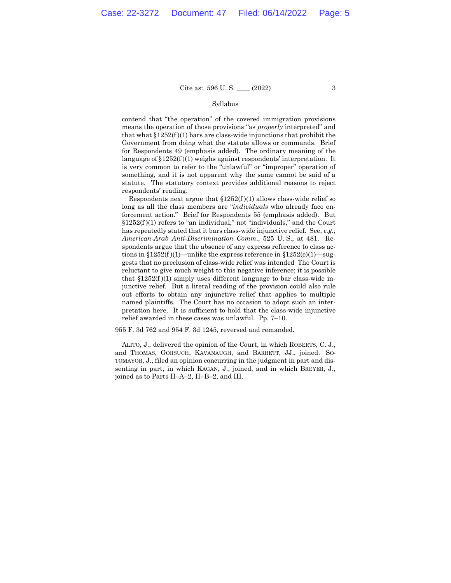### Syllabus

contend that "the operation" of the covered immigration provisions means the operation of those provisions "as *properly* interpreted" and that what §1252(f )(1) bars are class-wide injunctions that prohibit the Government from doing what the statute allows or commands. Brief for Respondents 49 (emphasis added). The ordinary meaning of the language of  $$1252(f)(1)$  weighs against respondents' interpretation. It is very common to refer to the "unlawful" or "improper" operation of something, and it is not apparent why the same cannot be said of a statute. The statutory context provides additional reasons to reject respondents' reading.

Respondents next argue that  $$1252(f)(1)$  allows class-wide relief so long as all the class members are "*individuals* who already face enforcement action." Brief for Respondents 55 (emphasis added). But  $§1252(f)(1)$  refers to "an individual," not "individuals," and the Court has repeatedly stated that it bars class-wide injunctive relief. See, *e.g., American-Arab Anti-Discrimination Comm*., 525 U. S., at 481. Respondents argue that the absence of any express reference to class actions in  $$1252(f)(1)$ —unlike the express reference in  $$1252(e)(1)$ —suggests that no preclusion of class-wide relief was intended The Court is reluctant to give much weight to this negative inference; it is possible that  $$1252(f)(1)$  simply uses different language to bar class-wide injunctive relief. But a literal reading of the provision could also rule out efforts to obtain any injunctive relief that applies to multiple named plaintiffs. The Court has no occasion to adopt such an interpretation here. It is sufficient to hold that the class-wide injunctive relief awarded in these cases was unlawful. Pp. 7–10.

955 F. 3d 762 and 954 F. 3d 1245, reversed and remanded.

ALITO, J., delivered the opinion of the Court, in which ROBERTS, C. J., and THOMAS, GORSUCH, KAVANAUGH, and BARRETT, JJ., joined. SO-TOMAYOR, J., filed an opinion concurring in the judgment in part and dissenting in part, in which KAGAN, J., joined, and in which BREYER, J., joined as to Parts II–A–2, II–B–2, and III.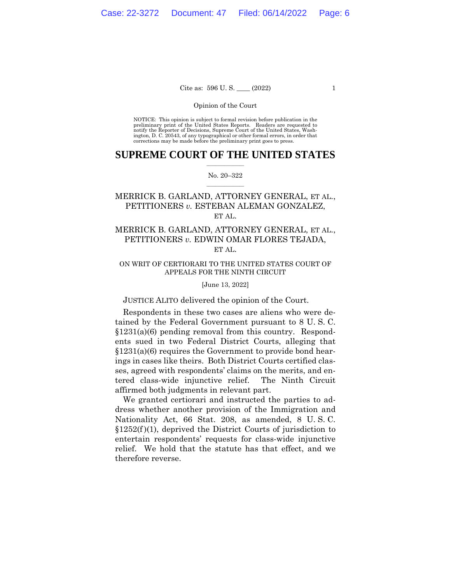## Cite as:  $596 \text{ U.S.}$  (2022) 1

### Opinion of the Court

 NOTICE: This opinion is subject to formal revision before publication in the preliminary print of the United States Reports. Readers are requested to notify the Reporter of Decisions, Supreme Court of the United States, Wash-ington, D. C. 20543, of any typographical or other formal errors, in order that corrections may be made before the preliminary print goes to press.

## $\frac{1}{2}$  ,  $\frac{1}{2}$  ,  $\frac{1}{2}$  ,  $\frac{1}{2}$  ,  $\frac{1}{2}$  ,  $\frac{1}{2}$  ,  $\frac{1}{2}$ **SUPREME COURT OF THE UNITED STATES**

### $\frac{1}{2}$  ,  $\frac{1}{2}$  ,  $\frac{1}{2}$  ,  $\frac{1}{2}$  ,  $\frac{1}{2}$  ,  $\frac{1}{2}$ No. 20–322

# MERRICK B. GARLAND, ATTORNEY GENERAL, ET AL., PETITIONERS *v.* ESTEBAN ALEMAN GONZALEZ, ET AL.

# MERRICK B. GARLAND, ATTORNEY GENERAL, ET AL., PETITIONERS *v.* EDWIN OMAR FLORES TEJADA, ET AL.

## ON WRIT OF CERTIORARI TO THE UNITED STATES COURT OF APPEALS FOR THE NINTH CIRCUIT

### [June 13, 2022]

## JUSTICE ALITO delivered the opinion of the Court.

Respondents in these two cases are aliens who were detained by the Federal Government pursuant to 8 U. S. C. §1231(a)(6) pending removal from this country. Respondents sued in two Federal District Courts, alleging that §1231(a)(6) requires the Government to provide bond hearings in cases like theirs. Both District Courts certified classes, agreed with respondents' claims on the merits, and entered class-wide injunctive relief. The Ninth Circuit affirmed both judgments in relevant part.

We granted certiorari and instructed the parties to address whether another provision of the Immigration and Nationality Act, 66 Stat. 208, as amended, 8 U. S. C.  $$1252(f)(1)$ , deprived the District Courts of jurisdiction to entertain respondents' requests for class-wide injunctive relief. We hold that the statute has that effect, and we therefore reverse.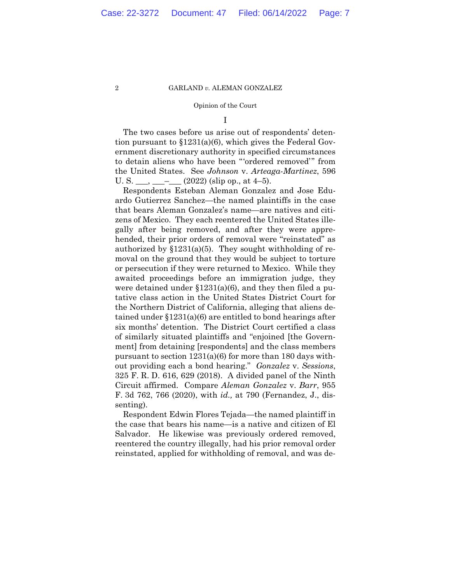### Opinion of the Court

I

The two cases before us arise out of respondents' detention pursuant to §1231(a)(6), which gives the Federal Government discretionary authority in specified circumstances to detain aliens who have been "'ordered removed'" from the United States. See *Johnson* v. *Arteaga-Martinez*, 596 U. S. \_\_\_, \_\_\_-  $(2022)$  (slip op., at 4–5).

Respondents Esteban Aleman Gonzalez and Jose Eduardo Gutierrez Sanchez—the named plaintiffs in the case that bears Aleman Gonzalez's name—are natives and citizens of Mexico. They each reentered the United States illegally after being removed, and after they were apprehended, their prior orders of removal were "reinstated" as authorized by  $$1231(a)(5)$ . They sought withholding of removal on the ground that they would be subject to torture or persecution if they were returned to Mexico. While they awaited proceedings before an immigration judge, they were detained under  $$1231(a)(6)$ , and they then filed a putative class action in the United States District Court for the Northern District of California, alleging that aliens detained under §1231(a)(6) are entitled to bond hearings after six months' detention. The District Court certified a class of similarly situated plaintiffs and "enjoined [the Government] from detaining [respondents] and the class members pursuant to section 1231(a)(6) for more than 180 days without providing each a bond hearing." *Gonzalez* v. *Sessions*, 325 F. R. D. 616, 629 (2018). A divided panel of the Ninth Circuit affirmed. Compare *Aleman Gonzalez* v. *Barr*, 955 F. 3d 762, 766 (2020), with *id.,* at 790 (Fernandez, J., dissenting).

Respondent Edwin Flores Tejada—the named plaintiff in the case that bears his name—is a native and citizen of El Salvador. He likewise was previously ordered removed, reentered the country illegally, had his prior removal order reinstated, applied for withholding of removal, and was de-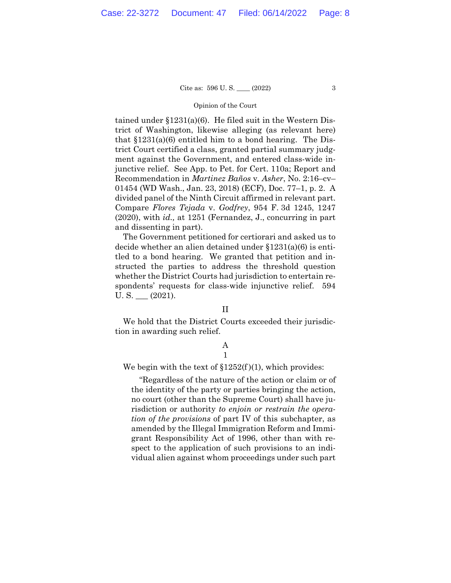### Opinion of the Court

tained under §1231(a)(6). He filed suit in the Western District of Washington, likewise alleging (as relevant here) that  $$1231(a)(6)$  entitled him to a bond hearing. The District Court certified a class, granted partial summary judgment against the Government, and entered class-wide injunctive relief. See App. to Pet. for Cert. 110a; Report and Recommendation in *Martinez Baños* v. *Asher*, No. 2:16–cv– 01454 (WD Wash., Jan. 23, 2018) (ECF), Doc. 77–1, p. 2. A divided panel of the Ninth Circuit affirmed in relevant part. Compare *Flores Tejada* v. *Godfrey*, 954 F. 3d 1245, 1247 (2020), with *id.,* at 1251 (Fernandez, J., concurring in part and dissenting in part).

The Government petitioned for certiorari and asked us to decide whether an alien detained under §1231(a)(6) is entitled to a bond hearing. We granted that petition and instructed the parties to address the threshold question whether the District Courts had jurisdiction to entertain respondents' requests for class-wide injunctive relief. 594  $U.S.$   $(2021).$ 

## II

We hold that the District Courts exceeded their jurisdiction in awarding such relief.

### A 1

We begin with the text of  $$1252(f)(1)$ , which provides:

"Regardless of the nature of the action or claim or of the identity of the party or parties bringing the action, no court (other than the Supreme Court) shall have jurisdiction or authority *to enjoin or restrain the operation of the provisions* of part IV of this subchapter, as amended by the Illegal Immigration Reform and Immigrant Responsibility Act of 1996, other than with respect to the application of such provisions to an individual alien against whom proceedings under such part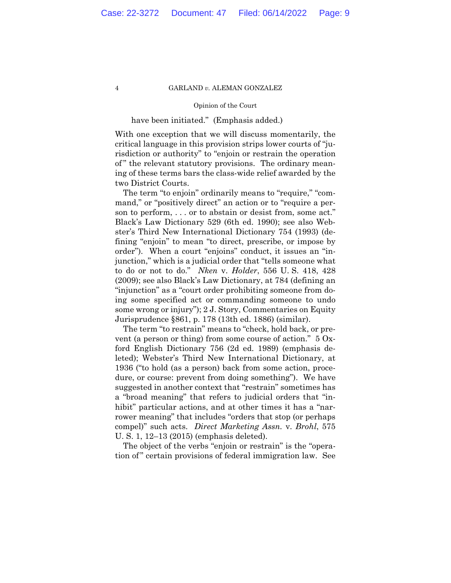## Opinion of the Court

## have been initiated." (Emphasis added.)

With one exception that we will discuss momentarily, the critical language in this provision strips lower courts of "jurisdiction or authority" to "enjoin or restrain the operation of" the relevant statutory provisions. The ordinary meaning of these terms bars the class-wide relief awarded by the two District Courts.

The term "to enjoin" ordinarily means to "require," "command," or "positively direct" an action or to "require a person to perform, . . . or to abstain or desist from, some act." Black's Law Dictionary 529 (6th ed. 1990); see also Webster's Third New International Dictionary 754 (1993) (defining "enjoin" to mean "to direct, prescribe, or impose by order"). When a court "enjoins" conduct, it issues an "injunction," which is a judicial order that "tells someone what to do or not to do." *Nken* v. *Holder*, 556 U. S. 418, 428 (2009); see also Black's Law Dictionary, at 784 (defining an "injunction" as a "court order prohibiting someone from doing some specified act or commanding someone to undo some wrong or injury"); 2 J. Story, Commentaries on Equity Jurisprudence §861, p. 178 (13th ed. 1886) (similar).

The term "to restrain" means to "check, hold back, or prevent (a person or thing) from some course of action." 5 Oxford English Dictionary 756 (2d ed. 1989) (emphasis deleted); Webster's Third New International Dictionary, at 1936 ("to hold (as a person) back from some action, procedure, or course: prevent from doing something"). We have suggested in another context that "restrain" sometimes has a "broad meaning" that refers to judicial orders that "inhibit" particular actions, and at other times it has a "narrower meaning" that includes "orders that stop (or perhaps compel)" such acts. *Direct Marketing Assn.* v. *Brohl*, 575 U. S. 1, 12–13 (2015) (emphasis deleted).

The object of the verbs "enjoin or restrain" is the "operation of " certain provisions of federal immigration law. See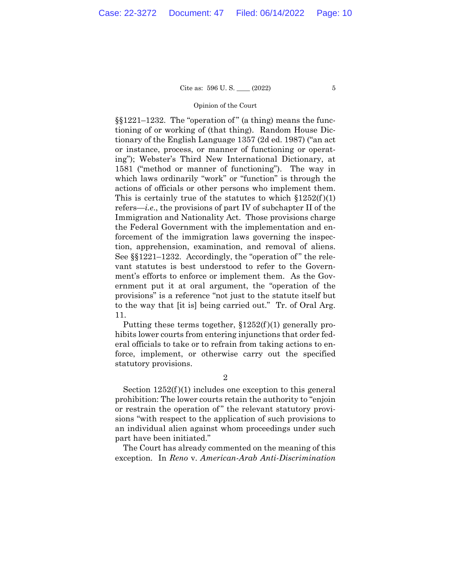### Opinion of the Court

§§1221–1232. The "operation of " (a thing) means the functioning of or working of (that thing). Random House Dictionary of the English Language 1357 (2d ed. 1987) ("an act or instance, process, or manner of functioning or operating"); Webster's Third New International Dictionary, at 1581 ("method or manner of functioning"). The way in which laws ordinarily "work" or "function" is through the actions of officials or other persons who implement them. This is certainly true of the statutes to which  $$1252(f)(1)$ refers—*i.e*., the provisions of part IV of subchapter II of the Immigration and Nationality Act. Those provisions charge the Federal Government with the implementation and enforcement of the immigration laws governing the inspection, apprehension, examination, and removal of aliens. See §§1221–1232. Accordingly, the "operation of " the relevant statutes is best understood to refer to the Government's efforts to enforce or implement them. As the Government put it at oral argument, the "operation of the provisions" is a reference "not just to the statute itself but to the way that [it is] being carried out." Tr. of Oral Arg. 11.

Putting these terms together, §1252(f )(1) generally prohibits lower courts from entering injunctions that order federal officials to take or to refrain from taking actions to enforce, implement, or otherwise carry out the specified statutory provisions.

2

Section  $1252(f)(1)$  includes one exception to this general prohibition: The lower courts retain the authority to "enjoin or restrain the operation of" the relevant statutory provisions "with respect to the application of such provisions to an individual alien against whom proceedings under such part have been initiated."

The Court has already commented on the meaning of this exception. In *Reno* v. *American-Arab Anti-Discrimination*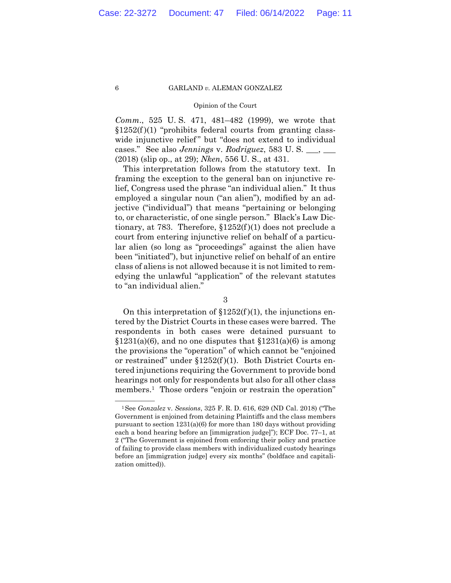### Opinion of the Court

*Comm*., 525 U. S. 471, 481–482 (1999), we wrote that  $§1252(f)(1)$  "prohibits federal courts from granting classwide injunctive relief" but "does not extend to individual cases." See also *Jennings* v. *Rodriguez*, 583 U. S. \_\_\_, \_\_\_ (2018) (slip op., at 29); *Nken*, 556 U. S., at 431.

This interpretation follows from the statutory text. In framing the exception to the general ban on injunctive relief, Congress used the phrase "an individual alien." It thus employed a singular noun ("an alien"), modified by an adjective ("individual") that means "pertaining or belonging to, or characteristic, of one single person." Black's Law Dictionary, at 783. Therefore,  $$1252(f)(1)$  does not preclude a court from entering injunctive relief on behalf of a particular alien (so long as "proceedings" against the alien have been "initiated"), but injunctive relief on behalf of an entire class of aliens is not allowed because it is not limited to remedying the unlawful "application" of the relevant statutes to "an individual alien."

On this interpretation of  $$1252(f)(1)$ , the injunctions entered by the District Courts in these cases were barred. The respondents in both cases were detained pursuant to  $$1231(a)(6)$ , and no one disputes that  $$1231(a)(6)$  is among the provisions the "operation" of which cannot be "enjoined or restrained" under §1252(f )(1). Both District Courts entered injunctions requiring the Government to provide bond hearings not only for respondents but also for all other class members.<sup>1</sup> Those orders "enjoin or restrain the operation"

<sup>3</sup> 

<sup>—————— 1</sup>See *Gonzalez* v. *Sessions*, 325 F. R. D. 616, 629 (ND Cal. 2018) ("The Government is enjoined from detaining Plaintiffs and the class members pursuant to section 1231(a)(6) for more than 180 days without providing each a bond hearing before an [immigration judge]"); ECF Doc. 77–1, at 2 ("The Government is enjoined from enforcing their policy and practice of failing to provide class members with individualized custody hearings before an [immigration judge] every six months" (boldface and capitalization omitted)).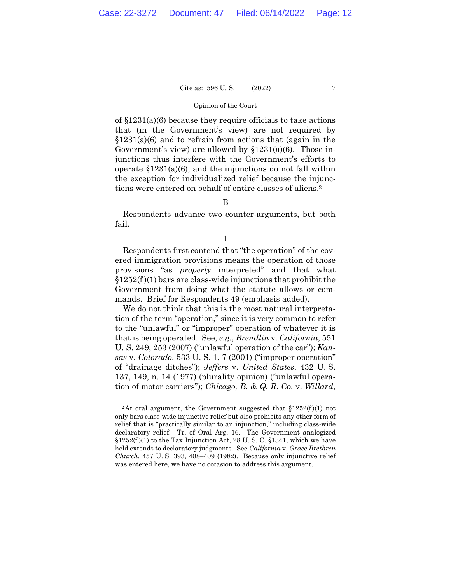### Opinion of the Court

of §1231(a)(6) because they require officials to take actions that (in the Government's view) are not required by  $$1231(a)(6)$  and to refrain from actions that (again in the Government's view) are allowed by §1231(a)(6). Those injunctions thus interfere with the Government's efforts to operate §1231(a)(6), and the injunctions do not fall within the exception for individualized relief because the injunctions were entered on behalf of entire classes of aliens.2

# B

Respondents advance two counter-arguments, but both fail.

1

Respondents first contend that "the operation" of the covered immigration provisions means the operation of those provisions "as *properly* interpreted" and that what  $$1252(f)(1)$  bars are class-wide injunctions that prohibit the Government from doing what the statute allows or commands. Brief for Respondents 49 (emphasis added).

We do not think that this is the most natural interpretation of the term "operation," since it is very common to refer to the "unlawful" or "improper" operation of whatever it is that is being operated. See, *e.g*., *Brendlin* v. *California*, 551 U. S. 249, 253 (2007) ("unlawful operation of the car"); *Kansas* v. *Colorado*, 533 U. S. 1, 7 (2001) ("improper operation" of "drainage ditches"); *Jeffers* v. *United States*, 432 U. S. 137, 149, n. 14 (1977) (plurality opinion) ("unlawful operation of motor carriers"); *Chicago, B. & Q. R. Co.* v. *Willard*,

 $$1252(f)(1)$  to the Tax Injunction Act, 28 U.S.C.  $$1341$ , which we have <sup>2</sup>At oral argument, the Government suggested that  $$1252(f)(1)$  not only bars class-wide injunctive relief but also prohibits any other form of relief that is "practically similar to an injunction," including class-wide declaratory relief. Tr. of Oral Arg. 16. The Government analogized held extends to declaratory judgments. See *California* v. *Grace Brethren Church*, 457 U. S. 393, 408–409 (1982). Because only injunctive relief was entered here, we have no occasion to address this argument.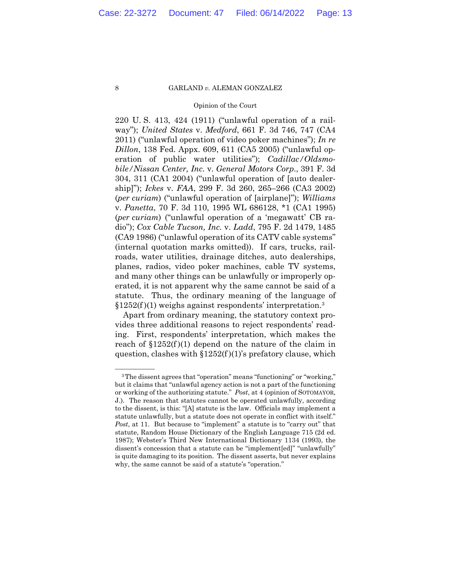### Opinion of the Court

 erated, it is not apparent why the same cannot be said of a 220 U. S. 413, 424 (1911) ("unlawful operation of a railway"); *United States* v. *Medford*, 661 F. 3d 746, 747 (CA4 2011) ("unlawful operation of video poker machines"); *In re Dillon*, 138 Fed. Appx. 609, 611 (CA5 2005) ("unlawful operation of public water utilities"); *Cadillac/Oldsmobile/Nissan Center, Inc.* v. *General Motors Corp*., 391 F. 3d 304, 311 (CA1 2004) ("unlawful operation of [auto dealership]"); *Ickes* v. *FAA*, 299 F. 3d 260, 265–266 (CA3 2002) (*per curiam*) ("unlawful operation of [airplane]"); *Williams*  v. *Panetta*, 70 F. 3d 110, 1995 WL 686128, \*1 (CA1 1995) (*per curiam*) ("unlawful operation of a 'megawatt' CB radio"); *Cox Cable Tucson, Inc.* v. *Ladd*, 795 F. 2d 1479, 1485 (CA9 1986) ("unlawful operation of its CATV cable systems" (internal quotation marks omitted)). If cars, trucks, railroads, water utilities, drainage ditches, auto dealerships, planes, radios, video poker machines, cable TV systems, and many other things can be unlawfully or improperly opstatute. Thus, the ordinary meaning of the language of  $§1252(f)(1)$  weighs against respondents' interpretation.<sup>3</sup>

Apart from ordinary meaning, the statutory context provides three additional reasons to reject respondents' reading. First, respondents' interpretation, which makes the reach of  $$1252(f)(1)$  depend on the nature of the claim in question, clashes with  $$1252(f)(1)$ 's prefatory clause, which

<sup>&</sup>lt;sup>3</sup>The dissent agrees that "operation" means "functioning" or "working," but it claims that "unlawful agency action is not a part of the functioning or working of the authorizing statute." *Post*, at 4 (opinion of SOTOMAYOR, J.). The reason that statutes cannot be operated unlawfully, according to the dissent, is this: "[A] statute is the law. Officials may implement a statute unlawfully, but a statute does not operate in conflict with itself." *Post*, at 11. But because to "implement" a statute is to "carry out" that statute, Random House Dictionary of the English Language 715 (2d ed. 1987); Webster's Third New International Dictionary 1134 (1993), the dissent's concession that a statute can be "implement[ed]" "unlawfully" is quite damaging to its position. The dissent asserts, but never explains why, the same cannot be said of a statute's "operation."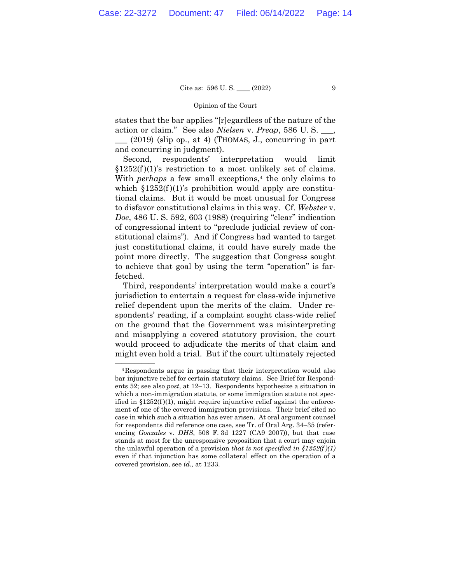## Cite as:  $596 \text{ U.S.}$  (2022) 9

## Opinion of the Court

states that the bar applies "[r]egardless of the nature of the action or claim." See also *Nielsen* v. *Preap*, 586 U. S. \_\_\_,

 $\Box$  (2019) (slip op., at 4) (THOMAS, J., concurring in part and concurring in judgment).

 $$1252(f)(1)'$ s restriction to a most unlikely set of claims.<br>With *perhaps* a few small exceptions,<sup>4</sup> the only claims to Second, respondents' interpretation would limit which  $$1252(f)(1)$ 's prohibition would apply are constitutional claims. But it would be most unusual for Congress to disfavor constitutional claims in this way. Cf. *Webster* v. *Doe*, 486 U. S. 592, 603 (1988) (requiring "clear" indication of congressional intent to "preclude judicial review of constitutional claims"). And if Congress had wanted to target just constitutional claims, it could have surely made the point more directly. The suggestion that Congress sought to achieve that goal by using the term "operation" is farfetched.

Third, respondents' interpretation would make a court's jurisdiction to entertain a request for class-wide injunctive relief dependent upon the merits of the claim. Under respondents' reading, if a complaint sought class-wide relief on the ground that the Government was misinterpreting and misapplying a covered statutory provision, the court would proceed to adjudicate the merits of that claim and might even hold a trial. But if the court ultimately rejected

<sup>&</sup>lt;sup>4</sup>Respondents argue in passing that their interpretation would also bar injunctive relief for certain statutory claims. See Brief for Respondents 52; see also *post*, at 12–13. Respondents hypothesize a situation in which a non-immigration statute, or some immigration statute not specified in  $\S 1252(f)(1)$ , might require injunctive relief against the enforcement of one of the covered immigration provisions. Their brief cited no case in which such a situation has ever arisen. At oral argument counsel for respondents did reference one case, see Tr. of Oral Arg. 34–35 (referencing *Gonzales* v. *DHS*, 508 F. 3d 1227 (CA9 2007)), but that case stands at most for the unresponsive proposition that a court may enjoin the unlawful operation of a provision *that is not specified in §1252(f )(1)*  even if that injunction has some collateral effect on the operation of a covered provision, see *id.,* at 1233.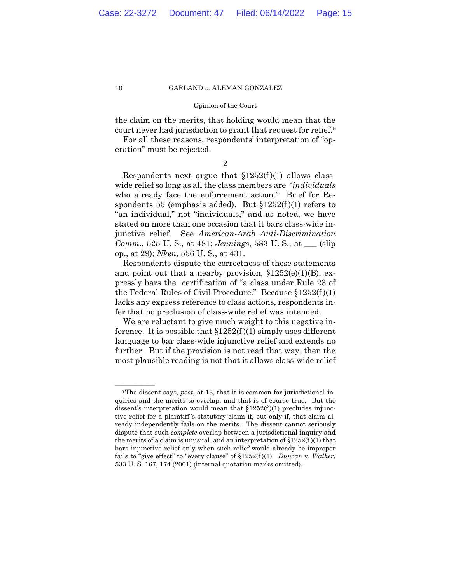### Opinion of the Court

the claim on the merits, that holding would mean that the court never had jurisdiction to grant that request for relief.5

For all these reasons, respondents' interpretation of "operation" must be rejected.

2

Respondents next argue that  $$1252(f)(1)$  allows classwide relief so long as all the class members are "*individuals*  who already face the enforcement action." Brief for Respondents 55 (emphasis added). But  $$1252(f)(1)$  refers to "an individual," not "individuals," and as noted, we have stated on more than one occasion that it bars class-wide injunctive relief. See *American-Arab Anti-Discrimination Comm*., 525 U. S., at 481; *Jennings*, 583 U. S., at \_\_\_ (slip op., at 29); *Nken*, 556 U. S., at 431.

Respondents dispute the correctness of these statements and point out that a nearby provision,  $$1252(e)(1)(B)$ , expressly bars the certification of "a class under Rule 23 of the Federal Rules of Civil Procedure." Because §1252(f )(1) lacks any express reference to class actions, respondents infer that no preclusion of class-wide relief was intended.

We are reluctant to give much weight to this negative inference. It is possible that  $$1252(f)(1)$  simply uses different language to bar class-wide injunctive relief and extends no further. But if the provision is not read that way, then the most plausible reading is not that it allows class-wide relief

 ready independently fails on the merits. The dissent cannot seriously <sup>5</sup>The dissent says, *post*, at 13, that it is common for jurisdictional inquiries and the merits to overlap, and that is of course true. But the dissent's interpretation would mean that  $$1252(f)(1)$  precludes injunctive relief for a plaintiff 's statutory claim if, but only if, that claim aldispute that such *complete* overlap between a jurisdictional inquiry and the merits of a claim is unusual, and an interpretation of  $$1252(f)(1)$  that bars injunctive relief only when such relief would already be improper fails to "give effect" to "every clause" of §1252(f )(1). *Duncan* v. *Walker*, 533 U. S. 167, 174 (2001) (internal quotation marks omitted).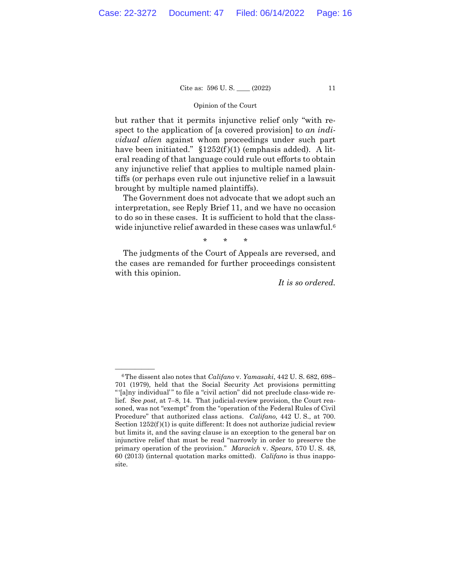## Opinion of the Court

but rather that it permits injunctive relief only "with respect to the application of [a covered provision] to *an individual alien* against whom proceedings under such part have been initiated."  $$1252(f)(1)$  (emphasis added). A literal reading of that language could rule out efforts to obtain any injunctive relief that applies to multiple named plaintiffs (or perhaps even rule out injunctive relief in a lawsuit brought by multiple named plaintiffs).

The Government does not advocate that we adopt such an interpretation, see Reply Brief 11, and we have no occasion to do so in these cases. It is sufficient to hold that the classwide injunctive relief awarded in these cases was unlawful.<sup>6</sup>

\* \* \*

The judgments of the Court of Appeals are reversed, and the cases are remanded for further proceedings consistent with this opinion.

*It is so ordered.* 

 Procedure" that authorized class actions. *Califano,* 442 U. S., at 700. <sup>6</sup>The dissent also notes that *Califano* v. *Yamasaki*, 442 U. S. 682, 698– 701 (1979), held that the Social Security Act provisions permitting "'[a]ny individual'" to file a "civil action" did not preclude class-wide relief. See *post*, at 7–8, 14. That judicial-review provision, the Court reasoned, was not "exempt" from the "operation of the Federal Rules of Civil Section  $1252(f)(1)$  is quite different: It does not authorize judicial review but limits it, and the saving clause is an exception to the general bar on injunctive relief that must be read "narrowly in order to preserve the primary operation of the provision." *Maracich* v. *Spears*, 570 U. S. 48, 60 (2013) (internal quotation marks omitted). *Califano* is thus inapposite.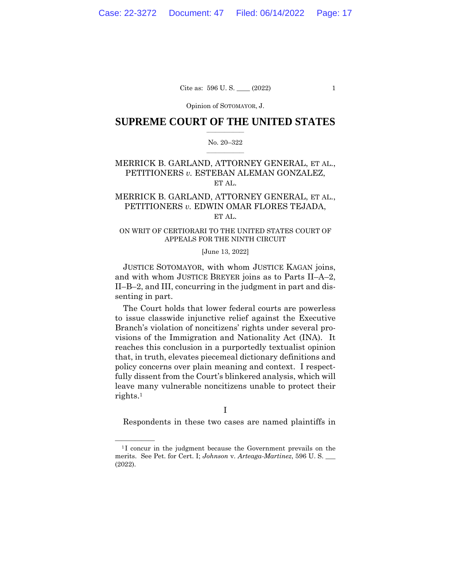Opinion of SOTOMAYOR, J.

## $\frac{1}{2}$  ,  $\frac{1}{2}$  ,  $\frac{1}{2}$  ,  $\frac{1}{2}$  ,  $\frac{1}{2}$  ,  $\frac{1}{2}$  ,  $\frac{1}{2}$ **SUPREME COURT OF THE UNITED STATES**

### $\frac{1}{2}$  ,  $\frac{1}{2}$  ,  $\frac{1}{2}$  ,  $\frac{1}{2}$  ,  $\frac{1}{2}$  ,  $\frac{1}{2}$ No. 20–322

# MERRICK B. GARLAND, ATTORNEY GENERAL, ET AL., PETITIONERS *v.* ESTEBAN ALEMAN GONZALEZ, ET AL.

# MERRICK B. GARLAND, ATTORNEY GENERAL, ET AL., PETITIONERS *v.* EDWIN OMAR FLORES TEJADA, ET AL.

## ON WRIT OF CERTIORARI TO THE UNITED STATES COURT OF APPEALS FOR THE NINTH CIRCUIT

## [June 13, 2022]

JUSTICE SOTOMAYOR, with whom JUSTICE KAGAN joins, and with whom JUSTICE BREYER joins as to Parts II–A–2, II–B–2, and III, concurring in the judgment in part and dissenting in part.

The Court holds that lower federal courts are powerless to issue classwide injunctive relief against the Executive Branch's violation of noncitizens' rights under several provisions of the Immigration and Nationality Act (INA). It reaches this conclusion in a purportedly textualist opinion that, in truth, elevates piecemeal dictionary definitions and policy concerns over plain meaning and context. I respectfully dissent from the Court's blinkered analysis, which will leave many vulnerable noncitizens unable to protect their rights.1

I

Respondents in these two cases are named plaintiffs in

 $1$ <sup>1</sup>I concur in the judgment because the Government prevails on the merits. See Pet. for Cert. I; *Johnson* v. *Arteaga-Martinez*, 596 U. S. \_\_\_ (2022).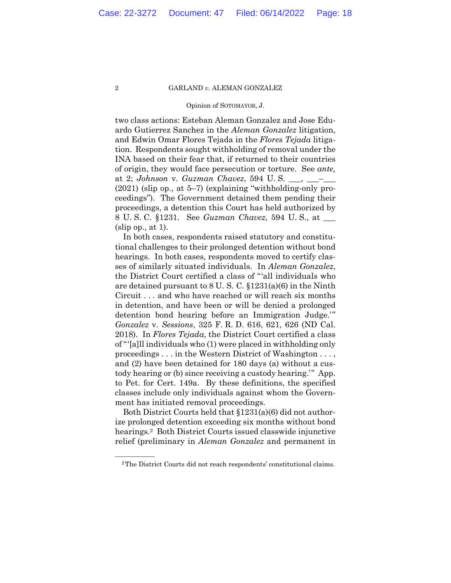### Opinion of SOTOMAYOR, J.

two class actions: Esteban Aleman Gonzalez and Jose Eduardo Gutierrez Sanchez in the *Aleman Gonzalez* litigation, and Edwin Omar Flores Tejada in the *Flores Tejada* litigation. Respondents sought withholding of removal under the INA based on their fear that, if returned to their countries of origin, they would face persecution or torture. See *ante,*  at 2; *Johnson* v. *Guzman Chavez*, 594 U. S. \_\_\_, \_\_\_–\_\_\_ (2021) (slip op., at 5–7) (explaining "withholding-only proceedings"). The Government detained them pending their proceedings, a detention this Court has held authorized by 8 U. S. C. §1231. See *Guzman Chavez*, 594 U. S., at \_\_\_  $(slip$  op., at 1).

In both cases, respondents raised statutory and constitutional challenges to their prolonged detention without bond hearings. In both cases, respondents moved to certify classes of similarly situated individuals. In *Aleman Gonzalez*, the District Court certified a class of "'all individuals who are detained pursuant to 8 U. S. C. §1231(a)(6) in the Ninth Circuit . . . and who have reached or will reach six months in detention, and have been or will be denied a prolonged detention bond hearing before an Immigration Judge.'" *Gonzalez* v. *Sessions*, 325 F. R. D. 616, 621, 626 (ND Cal. 2018). In *Flores Tejada*, the District Court certified a class of "'[a]ll individuals who (1) were placed in withholding only proceedings . . . in the Western District of Washington . . . , and (2) have been detained for 180 days (a) without a custody hearing or (b) since receiving a custody hearing.'" App. to Pet. for Cert. 149a. By these definitions, the specified classes include only individuals against whom the Government has initiated removal proceedings.

Both District Courts held that §1231(a)(6) did not authorize prolonged detention exceeding six months without bond hearings.<sup>2</sup> Both District Courts issued classwide injunctive relief (preliminary in *Aleman Gonzalez* and permanent in

<sup>&</sup>lt;sup>2</sup>The District Courts did not reach respondents' constitutional claims.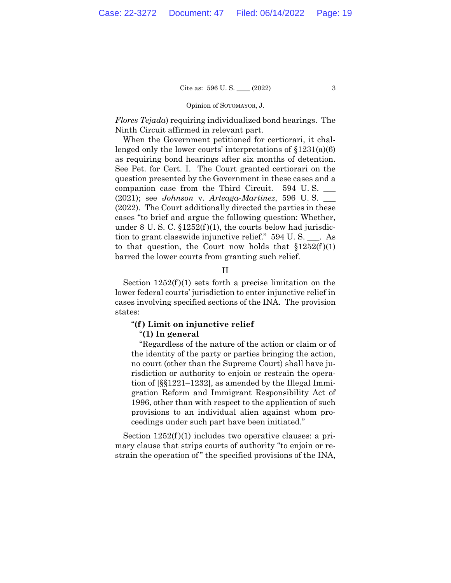### Opinion of SOTOMAYOR, J.

*Flores Tejada*) requiring individualized bond hearings. The Ninth Circuit affirmed in relevant part.

 tion to grant classwide injunctive relief." 594 U. S. \_\_\_. As When the Government petitioned for certiorari, it challenged only the lower courts' interpretations of §1231(a)(6) as requiring bond hearings after six months of detention. See Pet. for Cert. I. The Court granted certiorari on the question presented by the Government in these cases and a companion case from the Third Circuit. 594 U. S. \_\_\_ (2021); see *Johnson* v. *Arteaga-Martinez*, 596 U. S. \_\_\_ (2022). The Court additionally directed the parties in these cases "to brief and argue the following question: Whether, under 8 U. S. C.  $\S 1252(f)(1)$ , the courts below had jurisdicto that question, the Court now holds that  $$1252(f)(1)$ barred the lower courts from granting such relief.

II

Section  $1252(f)(1)$  sets forth a precise limitation on the lower federal courts' jurisdiction to enter injunctive relief in cases involving specified sections of the INA. The provision states:

# "**(f ) Limit on injunctive relief**

## "**(1) In general**

"Regardless of the nature of the action or claim or of the identity of the party or parties bringing the action, no court (other than the Supreme Court) shall have jurisdiction or authority to enjoin or restrain the operation of [§§1221–1232], as amended by the Illegal Immigration Reform and Immigrant Responsibility Act of 1996, other than with respect to the application of such provisions to an individual alien against whom proceedings under such part have been initiated."

Section  $1252(f)(1)$  includes two operative clauses: a primary clause that strips courts of authority "to enjoin or restrain the operation of" the specified provisions of the INA,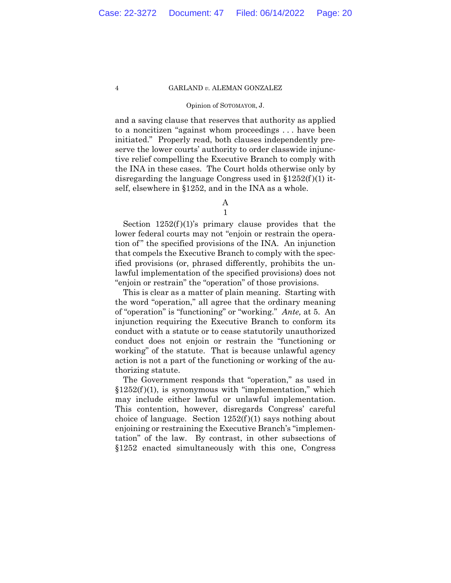### Opinion of SOTOMAYOR, J.

and a saving clause that reserves that authority as applied to a noncitizen "against whom proceedings . . . have been initiated." Properly read, both clauses independently preserve the lower courts' authority to order classwide injunctive relief compelling the Executive Branch to comply with the INA in these cases. The Court holds otherwise only by disregarding the language Congress used in  $$1252(f)(1)$  itself, elsewhere in §1252, and in the INA as a whole.

> A 1

Section  $1252(f)(1)$ 's primary clause provides that the lower federal courts may not "enjoin or restrain the operation of " the specified provisions of the INA. An injunction that compels the Executive Branch to comply with the specified provisions (or, phrased differently, prohibits the unlawful implementation of the specified provisions) does not "enjoin or restrain" the "operation" of those provisions.

 of "operation" is "functioning" or "working." *Ante,* at 5. An This is clear as a matter of plain meaning. Starting with the word "operation," all agree that the ordinary meaning injunction requiring the Executive Branch to conform its conduct with a statute or to cease statutorily unauthorized conduct does not enjoin or restrain the "functioning or working" of the statute. That is because unlawful agency action is not a part of the functioning or working of the authorizing statute.

The Government responds that "operation," as used in  $$1252(f)(1)$ , is synonymous with "implementation," which may include either lawful or unlawful implementation. This contention, however, disregards Congress' careful choice of language. Section  $1252(f)(1)$  says nothing about enjoining or restraining the Executive Branch's "implementation" of the law. By contrast, in other subsections of §1252 enacted simultaneously with this one, Congress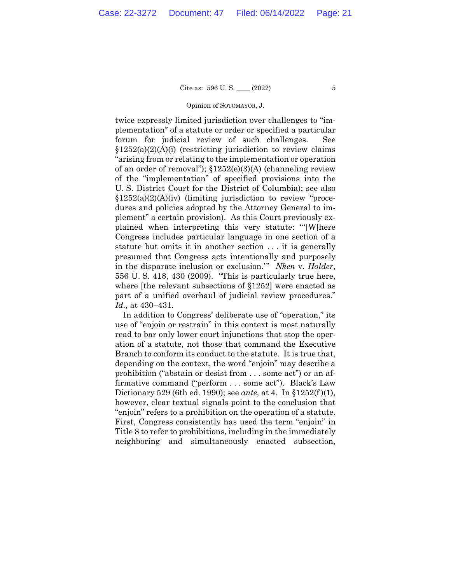### Opinion of SOTOMAYOR, J.

twice expressly limited jurisdiction over challenges to "implementation" of a statute or order or specified a particular forum for judicial review of such challenges. See  $§1252(a)(2)(A)(i)$  (restricting jurisdiction to review claims "arising from or relating to the implementation or operation of an order of removal"); §1252(e)(3)(A) (channeling review of the "implementation" of specified provisions into the U. S. District Court for the District of Columbia); see also §1252(a)(2)(A)(iv) (limiting jurisdiction to review "procedures and policies adopted by the Attorney General to implement" a certain provision). As this Court previously explained when interpreting this very statute: "'[W]here Congress includes particular language in one section of a statute but omits it in another section . . . it is generally presumed that Congress acts intentionally and purposely in the disparate inclusion or exclusion.'" *Nken* v. *Holder*, 556 U. S. 418, 430 (2009). "This is particularly true here, where [the relevant subsections of §1252] were enacted as part of a unified overhaul of judicial review procedures." *Id.,* at 430–431.

 "enjoin" refers to a prohibition on the operation of a statute. In addition to Congress' deliberate use of "operation," its use of "enjoin or restrain" in this context is most naturally read to bar only lower court injunctions that stop the operation of a statute, not those that command the Executive Branch to conform its conduct to the statute. It is true that, depending on the context, the word "enjoin" may describe a prohibition ("abstain or desist from . . . some act") or an affirmative command ("perform . . . some act"). Black's Law Dictionary 529 (6th ed. 1990); see *ante,* at 4. In §1252(f )(1), however, clear textual signals point to the conclusion that First, Congress consistently has used the term "enjoin" in Title 8 to refer to prohibitions, including in the immediately neighboring and simultaneously enacted subsection,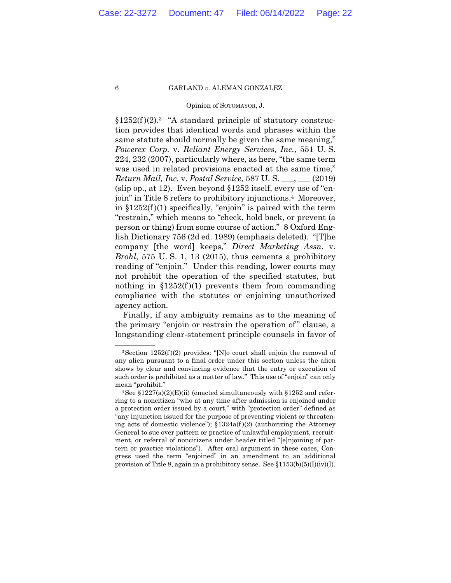## Opinion of SOTOMAYOR, J.

 $§1252(f)(2).$ <sup>3</sup> "A standard principle of statutory construction provides that identical words and phrases within the same statute should normally be given the same meaning," *Powerex Corp.* v. *Reliant Energy Services, Inc.*, 551 U. S. 224, 232 (2007), particularly where, as here, "the same term was used in related provisions enacted at the same time," *Return Mail, Inc.* v. *Postal Service*, 587 U. S. \_\_\_, \_\_\_ (2019) (slip op., at 12). Even beyond §1252 itself, every use of "enjoin" in Title 8 refers to prohibitory injunctions.4 Moreover, in  $$1252(f)(1)$  specifically, "enjoin" is paired with the term "restrain," which means to "check, hold back, or prevent (a person or thing) from some course of action." 8 Oxford English Dictionary 756 (2d ed. 1989) (emphasis deleted). "[T]he company [the word] keeps," *Direct Marketing Assn.* v. *Brohl*, 575 U. S. 1, 13 (2015), thus cements a prohibitory reading of "enjoin." Under this reading, lower courts may not prohibit the operation of the specified statutes, but nothing in  $$1252(f)(1)$  prevents them from commanding compliance with the statutes or enjoining unauthorized agency action.

Finally, if any ambiguity remains as to the meaning of the primary "enjoin or restrain the operation of " clause, a longstanding clear-statement principle counsels in favor of

<sup>&</sup>lt;sup>3</sup> Section 1252(f)(2) provides: "[N]o court shall enjoin the removal of any alien pursuant to a final order under this section unless the alien shows by clear and convincing evidence that the entry or execution of such order is prohibited as a matter of law." This use of "enjoin" can only mean "prohibit."<br> $4 \text{See } \S 1227(a)(2)(E)(ii)$  (enacted simultaneously with  $\S 1252$  and refer-

ring to a noncitizen "who at any time after admission is enjoined under a protection order issued by a court," with "protection order" defined as "any injunction issued for the purpose of preventing violent or threatening acts of domestic violence");  $$1324a(f)(2)$  (authorizing the Attorney General to sue over pattern or practice of unlawful employment, recruitment, or referral of noncitizens under header titled "[e]njoining of pattern or practice violations"). After oral argument in these cases, Congress used the term "enjoined" in an amendment to an additional provision of Title 8, again in a prohibitory sense. See  $\{1153(b)(5)(I)(iv)(I)\}$ .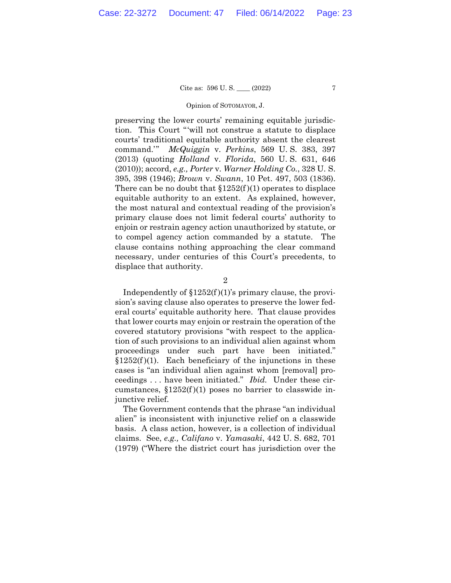### Opinion of SOTOMAYOR, J.

preserving the lower courts' remaining equitable jurisdiction. This Court "'will not construe a statute to displace courts' traditional equitable authority absent the clearest command.'" *McQuiggin* v. *Perkins*, 569 U. S. 383, 397 (2013) (quoting *Holland* v. *Florida*, 560 U. S. 631, 646 (2010)); accord, *e.g., Porter* v. *Warner Holding Co.*, 328 U. S. 395, 398 (1946); *Brown* v. *Swann*, 10 Pet. 497, 503 (1836). There can be no doubt that  $$1252(f)(1)$  operates to displace equitable authority to an extent. As explained, however, the most natural and contextual reading of the provision's primary clause does not limit federal courts' authority to enjoin or restrain agency action unauthorized by statute, or to compel agency action commanded by a statute. The clause contains nothing approaching the clear command necessary, under centuries of this Court's precedents, to displace that authority.

2

Independently of  $$1252(f)(1)$ 's primary clause, the provision's saving clause also operates to preserve the lower federal courts' equitable authority here. That clause provides that lower courts may enjoin or restrain the operation of the covered statutory provisions "with respect to the application of such provisions to an individual alien against whom proceedings under such part have been initiated."  $$1252(f)(1)$ . Each beneficiary of the injunctions in these cases is "an individual alien against whom [removal] proceedings . . . have been initiated." *Ibid.* Under these circumstances,  $$1252(f)(1)$  poses no barrier to classwide injunctive relief.

The Government contends that the phrase "an individual alien" is inconsistent with injunctive relief on a classwide basis. A class action, however, is a collection of individual claims. See, *e.g., Califano* v. *Yamasaki*, 442 U. S. 682, 701 (1979) ("Where the district court has jurisdiction over the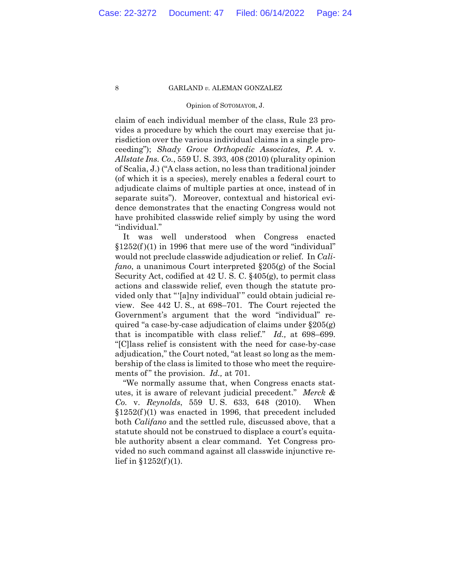### Opinion of SOTOMAYOR, J.

claim of each individual member of the class, Rule 23 provides a procedure by which the court may exercise that jurisdiction over the various individual claims in a single proceeding"); *Shady Grove Orthopedic Associates, P. A.* v. *Allstate Ins. Co.*, 559 U. S. 393, 408 (2010) (plurality opinion of Scalia, J.) ("A class action, no less than traditional joinder (of which it is a species), merely enables a federal court to adjudicate claims of multiple parties at once, instead of in separate suits"). Moreover, contextual and historical evidence demonstrates that the enacting Congress would not have prohibited classwide relief simply by using the word "individual."

 that is incompatible with class relief." *Id.,* at 698–699. "[C]lass relief is consistent with the need for case-by-case It was well understood when Congress enacted  $$1252(f)(1)$  in 1996 that mere use of the word "individual" would not preclude classwide adjudication or relief. In *Califano*, a unanimous Court interpreted §205(g) of the Social Security Act, codified at 42 U. S. C. §405(g), to permit class actions and classwide relief, even though the statute provided only that "'[a]ny individual'" could obtain judicial review. See 442 U. S., at 698–701. The Court rejected the Government's argument that the word "individual" required "a case-by-case adjudication of claims under §205(g) adjudication," the Court noted, "at least so long as the membership of the class is limited to those who meet the requirements of" the provision. *Id.*, at 701.

"We normally assume that, when Congress enacts statutes, it is aware of relevant judicial precedent." *Merck & Co.* v. *Reynolds*, 559 U. S. 633, 648 (2010). When  $$1252(f)(1)$  was enacted in 1996, that precedent included both *Califano* and the settled rule, discussed above, that a statute should not be construed to displace a court's equitable authority absent a clear command. Yet Congress provided no such command against all classwide injunctive relief in  $$1252(f)(1)$ .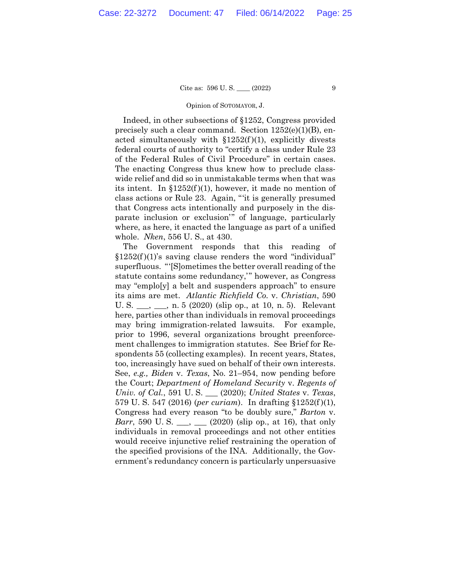Cite as:  $596 \text{ U.S.}$  (2022) 9

### Opinion of SOTOMAYOR, J.

Indeed, in other subsections of §1252, Congress provided precisely such a clear command. Section 1252(e)(1)(B), enacted simultaneously with  $$1252(f)(1)$ , explicitly divests federal courts of authority to "certify a class under Rule 23 of the Federal Rules of Civil Procedure" in certain cases. The enacting Congress thus knew how to preclude classwide relief and did so in unmistakable terms when that was its intent. In  $$1252(f)(1)$ , however, it made no mention of class actions or Rule 23. Again, "'it is generally presumed that Congress acts intentionally and purposely in the disparate inclusion or exclusion'" of language, particularly where, as here, it enacted the language as part of a unified whole. *Nken*, 556 U. S., at 430.

The Government responds that this reading of  $$1252(f)(1)'$ s saving clause renders the word "individual" superfluous. "'[S]ometimes the better overall reading of the statute contains some redundancy,'" however, as Congress may "emplo[y] a belt and suspenders approach" to ensure its aims are met. *Atlantic Richfield Co.* v. *Christian*, 590 U. S. \_\_\_, \_\_, n. 5 (2020) (slip op., at 10, n. 5). Relevant here, parties other than individuals in removal proceedings may bring immigration-related lawsuits. For example, prior to 1996, several organizations brought preenforcement challenges to immigration statutes. See Brief for Respondents 55 (collecting examples). In recent years, States, too, increasingly have sued on behalf of their own interests. See, *e.g., Biden* v. *Texas*, No. 21–954, now pending before the Court; *Department of Homeland Security* v. *Regents of Univ. of Cal.*, 591 U. S. \_\_\_ (2020); *United States* v. *Texas*, 579 U. S. 547 (2016) (*per curiam*). In drafting §1252(f )(1), Congress had every reason "to be doubly sure," *Barton* v. *Barr*, 590 U.S. \_\_, \_\_ (2020) (slip op., at 16), that only individuals in removal proceedings and not other entities would receive injunctive relief restraining the operation of the specified provisions of the INA. Additionally, the Government's redundancy concern is particularly unpersuasive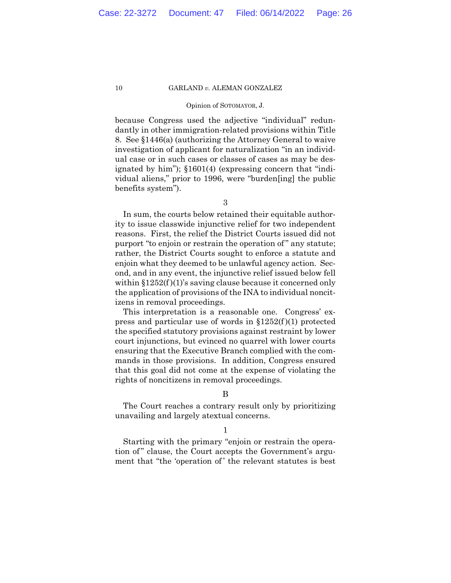### Opinion of SOTOMAYOR, J.

because Congress used the adjective "individual" redundantly in other immigration-related provisions within Title 8. See §1446(a) (authorizing the Attorney General to waive investigation of applicant for naturalization "in an individual case or in such cases or classes of cases as may be designated by him"); §1601(4) (expressing concern that "individual aliens," prior to 1996, were "burden[ing] the public benefits system").

3

In sum, the courts below retained their equitable authority to issue classwide injunctive relief for two independent reasons. First, the relief the District Courts issued did not purport "to enjoin or restrain the operation of" any statute; rather, the District Courts sought to enforce a statute and enjoin what they deemed to be unlawful agency action. Second, and in any event, the injunctive relief issued below fell within  $$1252(f)(1)'$ s saving clause because it concerned only the application of provisions of the INA to individual noncitizens in removal proceedings.

This interpretation is a reasonable one. Congress' express and particular use of words in §1252(f )(1) protected the specified statutory provisions against restraint by lower court injunctions, but evinced no quarrel with lower courts ensuring that the Executive Branch complied with the commands in those provisions. In addition, Congress ensured that this goal did not come at the expense of violating the rights of noncitizens in removal proceedings.

## B

The Court reaches a contrary result only by prioritizing unavailing and largely atextual concerns.

### 1

Starting with the primary "enjoin or restrain the operation of" clause, the Court accepts the Government's argument that "the 'operation of' the relevant statutes is best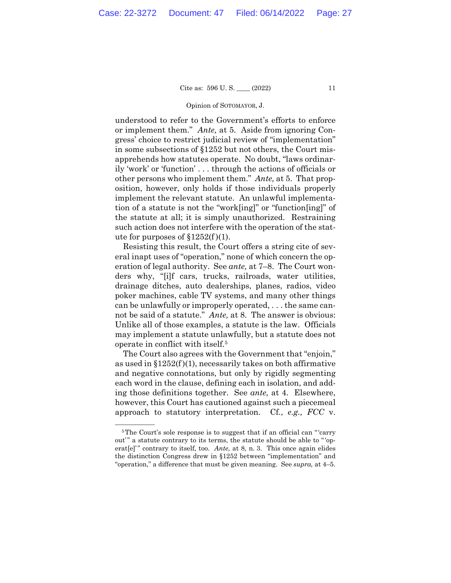### Opinion of SOTOMAYOR, J.

understood to refer to the Government's efforts to enforce or implement them." *Ante,* at 5. Aside from ignoring Congress' choice to restrict judicial review of "implementation" in some subsections of §1252 but not others, the Court misapprehends how statutes operate. No doubt, "laws ordinarily 'work' or 'function' . . . through the actions of officials or other persons who implement them." *Ante,* at 5. That proposition, however, only holds if those individuals properly implement the relevant statute. An unlawful implementation of a statute is not the "work[ing]" or "function[ing]" of the statute at all; it is simply unauthorized. Restraining such action does not interfere with the operation of the statute for purposes of  $$1252(f)(1)$ .

Resisting this result, the Court offers a string cite of several inapt uses of "operation," none of which concern the operation of legal authority. See *ante,* at 7–8. The Court wonders why, "[i]f cars, trucks, railroads, water utilities, drainage ditches, auto dealerships, planes, radios, video poker machines, cable TV systems, and many other things can be unlawfully or improperly operated, . . . the same cannot be said of a statute." *Ante,* at 8. The answer is obvious: Unlike all of those examples, a statute is the law. Officials may implement a statute unlawfully, but a statute does not operate in conflict with itself.5

The Court also agrees with the Government that "enjoin," as used in  $$1252(f)(1)$ , necessarily takes on both affirmative and negative connotations, but only by rigidly segmenting each word in the clause, defining each in isolation, and adding those definitions together. See *ante,* at 4. Elsewhere, however, this Court has cautioned against such a piecemeal approach to statutory interpretation. Cf., *e.g., FCC* v.

 ${}^5$ The Court's sole response is to suggest that if an official can "'carry out'" a statute contrary to its terms, the statute should be able to "'operat[e]'" contrary to itself, too. *Ante*, at 8, n. 3. This once again elides the distinction Congress drew in §1252 between "implementation" and "operation," a difference that must be given meaning. See *supra,* at 4–5.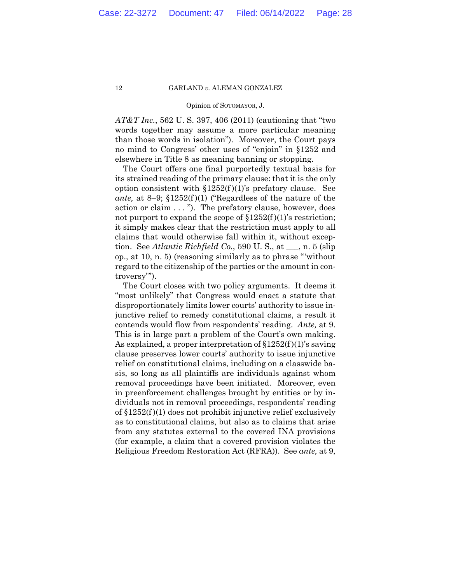### Opinion of SOTOMAYOR, J.

*AT&T Inc.*, 562 U. S. 397, 406 (2011) (cautioning that "two words together may assume a more particular meaning than those words in isolation"). Moreover, the Court pays no mind to Congress' other uses of "enjoin" in §1252 and elsewhere in Title 8 as meaning banning or stopping.

The Court offers one final purportedly textual basis for its strained reading of the primary clause: that it is the only option consistent with  $$1252(f)(1)$ 's prefatory clause. See *ante,* at 8–9; §1252(f )(1) ("Regardless of the nature of the action or claim . . . "). The prefatory clause, however, does not purport to expand the scope of  $$1252(f)(1)$ 's restriction; it simply makes clear that the restriction must apply to all claims that would otherwise fall within it, without exception. See *Atlantic Richfield Co.*, 590 U. S., at \_\_\_, n. 5 (slip op., at 10, n. 5) (reasoning similarly as to phrase "'without regard to the citizenship of the parties or the amount in controversy'").

The Court closes with two policy arguments. It deems it "most unlikely" that Congress would enact a statute that disproportionately limits lower courts' authority to issue injunctive relief to remedy constitutional claims, a result it contends would flow from respondents' reading. *Ante,* at 9. This is in large part a problem of the Court's own making. As explained, a proper interpretation of  $$1252(f)(1)$ 's saving clause preserves lower courts' authority to issue injunctive relief on constitutional claims, including on a classwide basis, so long as all plaintiffs are individuals against whom removal proceedings have been initiated. Moreover, even in preenforcement challenges brought by entities or by individuals not in removal proceedings, respondents' reading of  $$1252(f)(1)$  does not prohibit injunctive relief exclusively as to constitutional claims, but also as to claims that arise from any statutes external to the covered INA provisions (for example, a claim that a covered provision violates the Religious Freedom Restoration Act (RFRA)). See *ante,* at 9,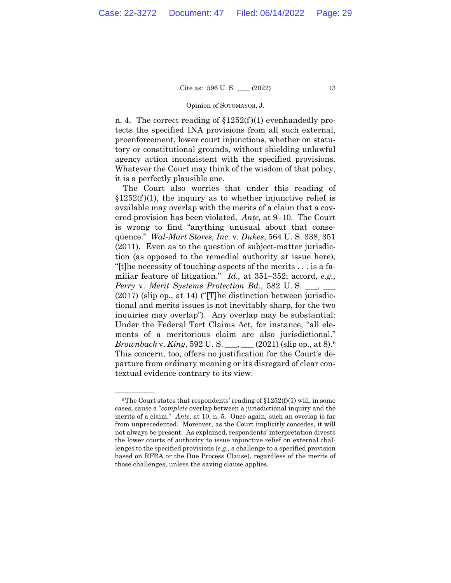### Opinion of SOTOMAYOR, J.

n. 4. The correct reading of  $$1252(f)(1)$  evenhandedly protects the specified INA provisions from all such external, preenforcement, lower court injunctions, whether on statutory or constitutional grounds, without shielding unlawful agency action inconsistent with the specified provisions. Whatever the Court may think of the wisdom of that policy, it is a perfectly plausible one.

 *Brownback* v. *King*, 592 U. S. \_\_\_, \_\_\_ (2021) (slip op., at 8).6 The Court also worries that under this reading of  $$1252(f)(1)$ , the inquiry as to whether injunctive relief is available may overlap with the merits of a claim that a covered provision has been violated. *Ante,* at 9–10. The Court is wrong to find "anything unusual about that consequence." *Wal-Mart Stores, Inc.* v. *Dukes*, 564 U. S. 338, 351 (2011). Even as to the question of subject-matter jurisdiction (as opposed to the remedial authority at issue here), "[t]he necessity of touching aspects of the merits . . . is a familiar feature of litigation." *Id.,* at 351–352; accord, *e.g., Perry v. Merit Systems Protection Bd.*, 582 U.S. \_\_, \_\_ (2017) (slip op., at 14) ("[T]he distinction between jurisdictional and merits issues is not inevitably sharp, for the two inquiries may overlap"). Any overlap may be substantial: Under the Federal Tort Claims Act, for instance, "all elements of a meritorious claim are also jurisdictional." This concern, too, offers no justification for the Court's departure from ordinary meaning or its disregard of clear contextual evidence contrary to its view.

 $6$ The Court states that respondents' reading of  $$1252(f)(1)$  will, in some cases, cause a "*complete* overlap between a jurisdictional inquiry and the merits of a claim." *Ante,* at 10, n. 5. Once again, such an overlap is far from unprecedented. Moreover, as the Court implicitly concedes, it will not always be present. As explained, respondents' interpretation divests the lower courts of authority to issue injunctive relief on external challenges to the specified provisions (*e.g.,* a challenge to a specified provision based on RFRA or the Due Process Clause), regardless of the merits of those challenges, unless the saving clause applies.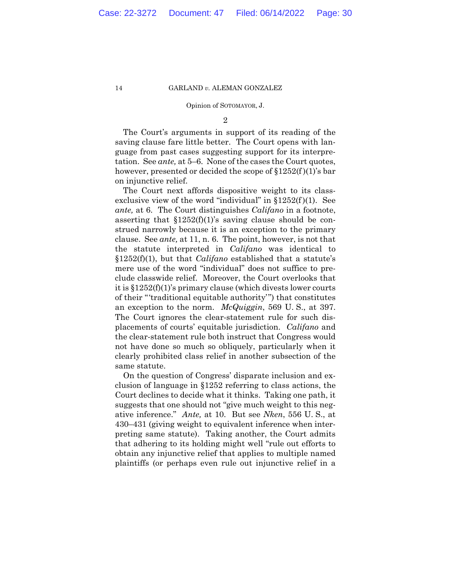### Opinion of SOTOMAYOR, J.

2

The Court's arguments in support of its reading of the saving clause fare little better. The Court opens with language from past cases suggesting support for its interpretation. See *ante,* at 5–6. None of the cases the Court quotes, however, presented or decided the scope of  $\S 1252(f)(1)$ 's bar on injunctive relief.

 an exception to the norm. *McQuiggin*, 569 U. S., at 397. The Court ignores the clear-statement rule for such dis-The Court next affords dispositive weight to its classexclusive view of the word "individual" in  $$1252(f)(1)$ . See *ante,* at 6. The Court distinguishes *Califano* in a footnote, asserting that  $$1252(f)(1)$ 's saving clause should be construed narrowly because it is an exception to the primary clause. See *ante,* at 11, n. 6. The point, however, is not that the statute interpreted in *Califano* was identical to §1252(f)(1), but that *Califano* established that a statute's mere use of the word "individual" does not suffice to preclude classwide relief. Moreover, the Court overlooks that it is §1252(f)(1)'s primary clause (which divests lower courts of their "'traditional equitable authority'") that constitutes placements of courts' equitable jurisdiction. *Califano* and the clear-statement rule both instruct that Congress would not have done so much so obliquely, particularly when it clearly prohibited class relief in another subsection of the same statute.

On the question of Congress' disparate inclusion and exclusion of language in §1252 referring to class actions, the Court declines to decide what it thinks. Taking one path, it suggests that one should not "give much weight to this negative inference." *Ante,* at 10. But see *Nken*, 556 U. S., at 430–431 (giving weight to equivalent inference when interpreting same statute). Taking another, the Court admits that adhering to its holding might well "rule out efforts to obtain any injunctive relief that applies to multiple named plaintiffs (or perhaps even rule out injunctive relief in a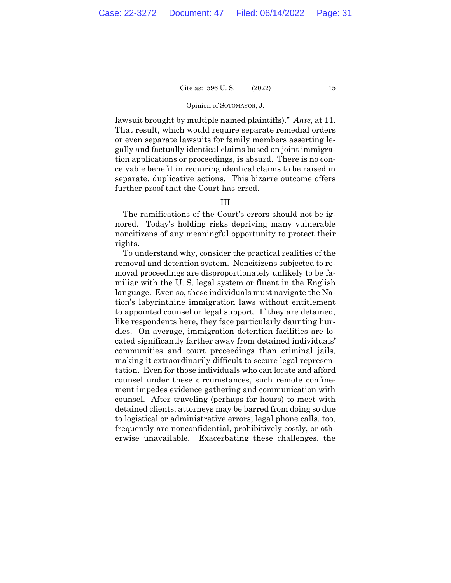### Opinion of SOTOMAYOR, J.

lawsuit brought by multiple named plaintiffs)." *Ante,* at 11. That result, which would require separate remedial orders or even separate lawsuits for family members asserting legally and factually identical claims based on joint immigration applications or proceedings, is absurd. There is no conceivable benefit in requiring identical claims to be raised in separate, duplicative actions. This bizarre outcome offers further proof that the Court has erred.

# III

The ramifications of the Court's errors should not be ignored. Today's holding risks depriving many vulnerable noncitizens of any meaningful opportunity to protect their rights.

To understand why, consider the practical realities of the removal and detention system. Noncitizens subjected to removal proceedings are disproportionately unlikely to be familiar with the U. S. legal system or fluent in the English language. Even so, these individuals must navigate the Nation's labyrinthine immigration laws without entitlement to appointed counsel or legal support. If they are detained, like respondents here, they face particularly daunting hurdles. On average, immigration detention facilities are located significantly farther away from detained individuals' communities and court proceedings than criminal jails, making it extraordinarily difficult to secure legal representation. Even for those individuals who can locate and afford counsel under these circumstances, such remote confinement impedes evidence gathering and communication with counsel. After traveling (perhaps for hours) to meet with detained clients, attorneys may be barred from doing so due to logistical or administrative errors; legal phone calls, too, frequently are nonconfidential, prohibitively costly, or otherwise unavailable. Exacerbating these challenges, the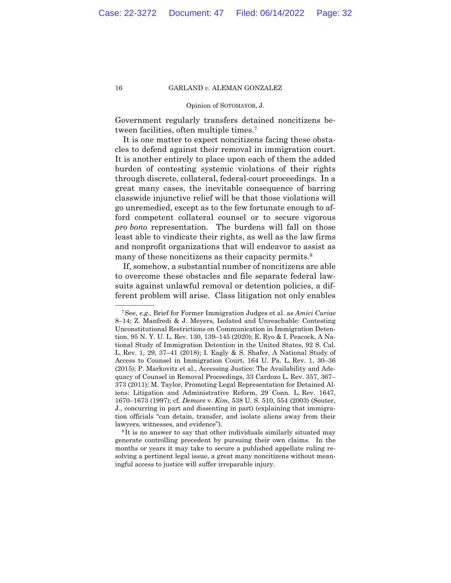### Opinion of SOTOMAYOR, J.

Government regularly transfers detained noncitizens between facilities, often multiple times.7

It is one matter to expect noncitizens facing these obstacles to defend against their removal in immigration court. It is another entirely to place upon each of them the added burden of contesting systemic violations of their rights through discrete, collateral, federal-court proceedings. In a great many cases, the inevitable consequence of barring classwide injunctive relief will be that those violations will go unremedied, except as to the few fortunate enough to afford competent collateral counsel or to secure vigorous *pro bono* representation. The burdens will fall on those least able to vindicate their rights, as well as the law firms and nonprofit organizations that will endeavor to assist as many of these noncitizens as their capacity permits.<sup>8</sup>

If, somehow, a substantial number of noncitizens are able to overcome these obstacles and file separate federal lawsuits against unlawful removal or detention policies, a different problem will arise. Class litigation not only enables

<sup>&</sup>lt;sup>7</sup>See, *e.g.*, Brief for Former Immigration Judges et al. as *Amici Curiae* 8–14; Z. Manfredi & J. Meyers, Isolated and Unreachable: Contesting Unconstitutional Restrictions on Communication in Immigration Detention, 95 N. Y. U. L. Rev. 130, 139–145 (2020); E. Ryo & I. Peacock, A National Study of Immigration Detention in the United States, 92 S. Cal. L. Rev. 1, 29, 37–41 (2018); I. Eagly & S. Shafer, A National Study of Access to Counsel in Immigration Court, 164 U. Pa. L. Rev. 1, 30–36 (2015); P. Markovitz et al., Accessing Justice: The Availability and Adequacy of Counsel in Removal Proceedings, 33 Cardozo L. Rev. 357, 367– 373 (2011); M. Taylor, Promoting Legal Representation for Detained Aliens: Litigation and Administrative Reform, 29 Conn. L. Rev. 1647, 1670–1673 (1997); cf. *Demore* v. *Kim*, 538 U. S. 510, 554 (2003) (Souter, J., concurring in part and dissenting in part) (explaining that immigration officials "can detain, transfer, and isolate aliens away from their

lawyers, witnesses, and evidence"). 8 It is no answer to say that other individuals similarly situated may generate controlling precedent by pursuing their own claims. In the months or years it may take to secure a published appellate ruling resolving a pertinent legal issue, a great many noncitizens without meaningful access to justice will suffer irreparable injury.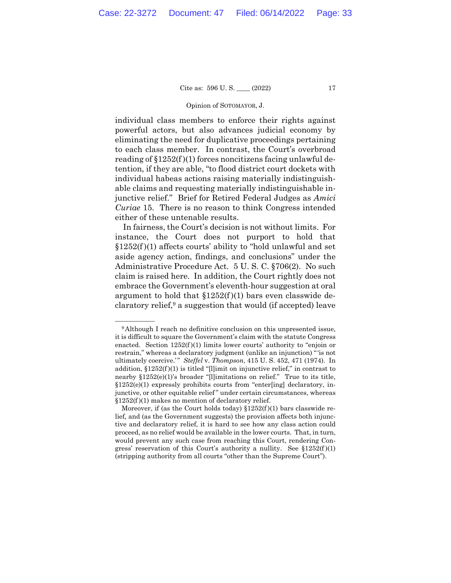### Opinion of SOTOMAYOR, J.

individual class members to enforce their rights against powerful actors, but also advances judicial economy by eliminating the need for duplicative proceedings pertaining to each class member. In contrast, the Court's overbroad reading of  $$1252(f)(1)$  forces noncitizens facing unlawful detention, if they are able, "to flood district court dockets with individual habeas actions raising materially indistinguishable claims and requesting materially indistinguishable injunctive relief." Brief for Retired Federal Judges as *Amici Curiae* 15. There is no reason to think Congress intended either of these untenable results.

In fairness, the Court's decision is not without limits. For instance, the Court does not purport to hold that  $$1252(f)(1)$  affects courts' ability to "hold unlawful and set aside agency action, findings, and conclusions" under the Administrative Procedure Act. 5 U. S. C. §706(2). No such claim is raised here. In addition, the Court rightly does not embrace the Government's eleventh-hour suggestion at oral argument to hold that  $$1252(f)(1)$  bars even classwide declaratory relief,  $9$  a suggestion that would (if accepted) leave

<sup>&</sup>lt;sup>9</sup>Although I reach no definitive conclusion on this unpresented issue, it is difficult to square the Government's claim with the statute Congress enacted. Section  $1252(f)(1)$  limits lower courts' authority to "enjoin or restrain," whereas a declaratory judgment (unlike an injunction) " 'is not ultimately coercive.'" *Steffel* v. *Thompson*, 415 U. S. 452, 471 (1974). In addition,  $$1252(f)(1)$  is titled "[l]imit on injunctive relief," in contrast to nearby  $$1252(e)(1)$ 's broader "[l]imitations on relief." True to its title,  $§1252(e)(1)$  expressly prohibits courts from "enter[ing] declaratory, injunctive, or other equitable relief" under certain circumstances, whereas  $$1252(f)(1)$  makes no mention of declaratory relief.

Moreover, if (as the Court holds today)  $$1252(f)(1)$  bars classwide relief, and (as the Government suggests) the provision affects both injunctive and declaratory relief, it is hard to see how any class action could proceed, as no relief would be available in the lower courts. That, in turn, would prevent any such case from reaching this Court, rendering Congress' reservation of this Court's authority a nullity. See  $$1252(f)(1)$ (stripping authority from all courts "other than the Supreme Court").